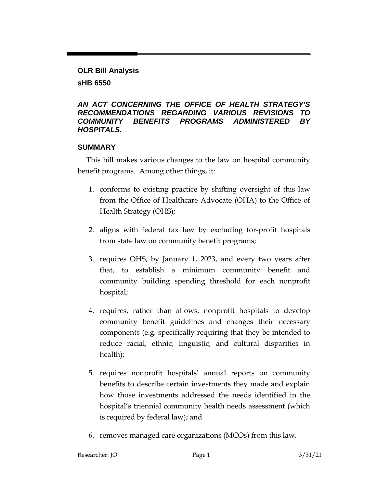## **OLR Bill Analysis sHB 6550**

### *AN ACT CONCERNING THE OFFICE OF HEALTH STRATEGY'S RECOMMENDATIONS REGARDING VARIOUS REVISIONS TO COMMUNITY BENEFITS PROGRAMS ADMINISTERED BY HOSPITALS.*

# **SUMMARY**

This bill makes various changes to the law on hospital community benefit programs. Among other things, it:

- 1. conforms to existing practice by shifting oversight of this law from the Office of Healthcare Advocate (OHA) to the Office of Health Strategy (OHS);
- 2. aligns with federal tax law by excluding for-profit hospitals from state law on community benefit programs;
- 3. requires OHS, by January 1, 2023, and every two years after that, to establish a minimum community benefit and community building spending threshold for each nonprofit hospital;
- 4. requires, rather than allows, nonprofit hospitals to develop community benefit guidelines and changes their necessary components (e.g. specifically requiring that they be intended to reduce racial, ethnic, linguistic, and cultural disparities in health);
- 5. requires nonprofit hospitals' annual reports on community benefits to describe certain investments they made and explain how those investments addressed the needs identified in the hospital's triennial community health needs assessment (which is required by federal law); and
- 6. removes managed care organizations (MCOs) from this law.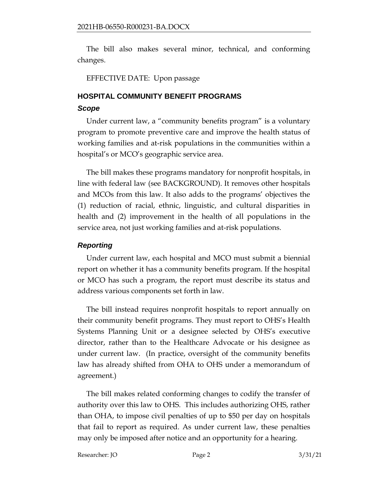The bill also makes several minor, technical, and conforming changes.

EFFECTIVE DATE: Upon passage

# **HOSPITAL COMMUNITY BENEFIT PROGRAMS**

### *Scope*

Under current law, a "community benefits program" is a voluntary program to promote preventive care and improve the health status of working families and at-risk populations in the communities within a hospital's or MCO's geographic service area.

The bill makes these programs mandatory for nonprofit hospitals, in line with federal law (see BACKGROUND). It removes other hospitals and MCOs from this law. It also adds to the programs' objectives the (1) reduction of racial, ethnic, linguistic, and cultural disparities in health and (2) improvement in the health of all populations in the service area, not just working families and at-risk populations.

# *Reporting*

Under current law, each hospital and MCO must submit a biennial report on whether it has a community benefits program. If the hospital or MCO has such a program, the report must describe its status and address various components set forth in law.

The bill instead requires nonprofit hospitals to report annually on their community benefit programs. They must report to OHS's Health Systems Planning Unit or a designee selected by OHS's executive director, rather than to the Healthcare Advocate or his designee as under current law. (In practice, oversight of the community benefits law has already shifted from OHA to OHS under a memorandum of agreement.)

The bill makes related conforming changes to codify the transfer of authority over this law to OHS. This includes authorizing OHS, rather than OHA, to impose civil penalties of up to \$50 per day on hospitals that fail to report as required. As under current law, these penalties may only be imposed after notice and an opportunity for a hearing.

Researcher: JO Bage 2 3/31/21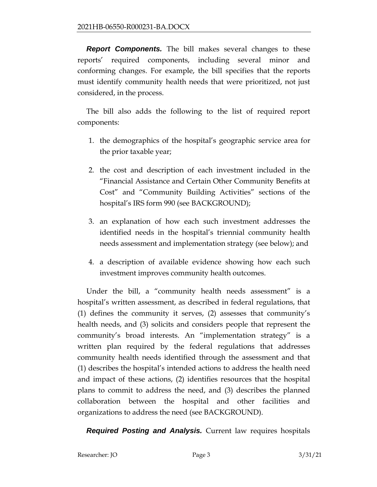**Report Components.** The bill makes several changes to these reports' required components, including several minor and conforming changes. For example, the bill specifies that the reports must identify community health needs that were prioritized, not just considered, in the process.

The bill also adds the following to the list of required report components:

- 1. the demographics of the hospital's geographic service area for the prior taxable year;
- 2. the cost and description of each investment included in the "Financial Assistance and Certain Other Community Benefits at Cost" and "Community Building Activities" sections of the hospital's IRS form 990 (see BACKGROUND);
- 3. an explanation of how each such investment addresses the identified needs in the hospital's triennial community health needs assessment and implementation strategy (see below); and
- 4. a description of available evidence showing how each such investment improves community health outcomes.

Under the bill, a "community health needs assessment" is a hospital's written assessment, as described in federal regulations, that (1) defines the community it serves, (2) assesses that community's health needs, and (3) solicits and considers people that represent the community's broad interests. An "implementation strategy" is a written plan required by the federal regulations that addresses community health needs identified through the assessment and that (1) describes the hospital's intended actions to address the health need and impact of these actions, (2) identifies resources that the hospital plans to commit to address the need, and (3) describes the planned collaboration between the hospital and other facilities and organizations to address the need (see BACKGROUND).

*Required Posting and Analysis.* Current law requires hospitals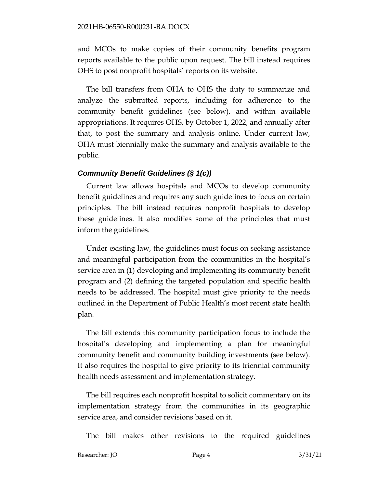and MCOs to make copies of their community benefits program reports available to the public upon request. The bill instead requires OHS to post nonprofit hospitals' reports on its website.

The bill transfers from OHA to OHS the duty to summarize and analyze the submitted reports, including for adherence to the community benefit guidelines (see below), and within available appropriations. It requires OHS, by October 1, 2022, and annually after that, to post the summary and analysis online. Under current law, OHA must biennially make the summary and analysis available to the public.

## *Community Benefit Guidelines (§ 1(c))*

Current law allows hospitals and MCOs to develop community benefit guidelines and requires any such guidelines to focus on certain principles. The bill instead requires nonprofit hospitals to develop these guidelines. It also modifies some of the principles that must inform the guidelines.

Under existing law, the guidelines must focus on seeking assistance and meaningful participation from the communities in the hospital's service area in (1) developing and implementing its community benefit program and (2) defining the targeted population and specific health needs to be addressed. The hospital must give priority to the needs outlined in the Department of Public Health's most recent state health plan.

The bill extends this community participation focus to include the hospital's developing and implementing a plan for meaningful community benefit and community building investments (see below). It also requires the hospital to give priority to its triennial community health needs assessment and implementation strategy.

The bill requires each nonprofit hospital to solicit commentary on its implementation strategy from the communities in its geographic service area, and consider revisions based on it.

The bill makes other revisions to the required guidelines

Researcher: JO Page 4 3/31/21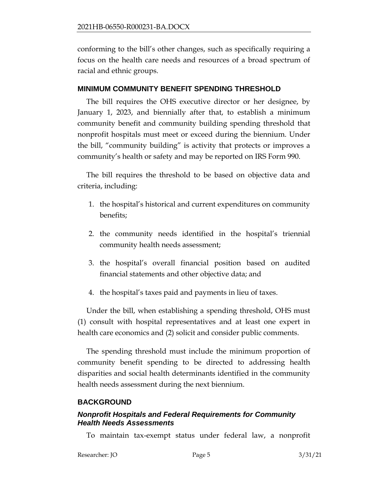conforming to the bill's other changes, such as specifically requiring a focus on the health care needs and resources of a broad spectrum of racial and ethnic groups.

#### **MINIMUM COMMUNITY BENEFIT SPENDING THRESHOLD**

The bill requires the OHS executive director or her designee, by January 1, 2023, and biennially after that, to establish a minimum community benefit and community building spending threshold that nonprofit hospitals must meet or exceed during the biennium. Under the bill, "community building" is activity that protects or improves a community's health or safety and may be reported on IRS Form 990.

The bill requires the threshold to be based on objective data and criteria, including:

- 1. the hospital's historical and current expenditures on community benefits;
- 2. the community needs identified in the hospital's triennial community health needs assessment;
- 3. the hospital's overall financial position based on audited financial statements and other objective data; and
- 4. the hospital's taxes paid and payments in lieu of taxes.

Under the bill, when establishing a spending threshold, OHS must (1) consult with hospital representatives and at least one expert in health care economics and (2) solicit and consider public comments.

The spending threshold must include the minimum proportion of community benefit spending to be directed to addressing health disparities and social health determinants identified in the community health needs assessment during the next biennium.

#### **BACKGROUND**

### *Nonprofit Hospitals and Federal Requirements for Community Health Needs Assessments*

To maintain tax-exempt status under federal law, a nonprofit